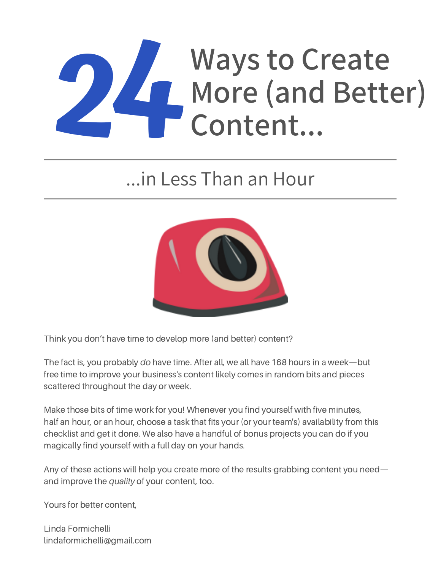# **24** More (and Bette Content... **More (and Better) Content...**

## ...in Less Than an Hour



Think you don't have time to develop more (and better) content?

The fact is, you probably *do* have time. After all, we all have 168 hours in a week—but free time to improve your business's content likely comes in random bits and pieces scattered throughout the day or week.

Make those bits of time work for you! Whenever you find yourself with five minutes, half an hour, or an hour, choose a task that fits your (or your team's) availability from this checklist and get it done. We also have a handful of bonus projects you can do if you magically find yourself with a full day on your hands.

Any of these actions will help you create more of the results-grabbing content you need and improve the *quality* of your content, too.

Yours for better content,

Linda Formichelli lindaformichelli@gmail.com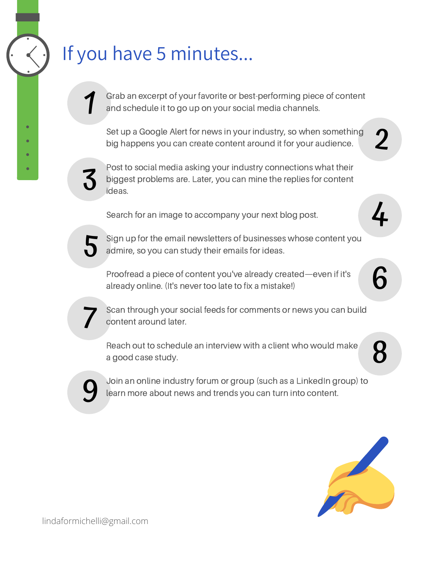### If you have 5 minutes...

Grab an excerpt of your favorite or best-performing piece of content and schedule it to go up on your social media channels.

Set up a Google Alert for news in your industry, so when something big happens you can create content around it for your audience.

2

4

6

8



1

Post to social media asking your industry connections what their biggest problems are. Later, you can mine the replies for content ideas.

Search for an image to accompany your next blog post.

5

Sign up for the email newsletters of businesses whose content you admire, so you can study their emails for ideas.

Proofread a piece of content you've already created—even if it's already online. (It's never too late to fix a mistake!)

7

Scan through your social feeds for comments or news you can build content around later.

Reach out to schedule an interview with a client who would make a good case study.



Join an online industry forum or group (such as a LinkedIn group) to learn more about news and trends you can turn into content.

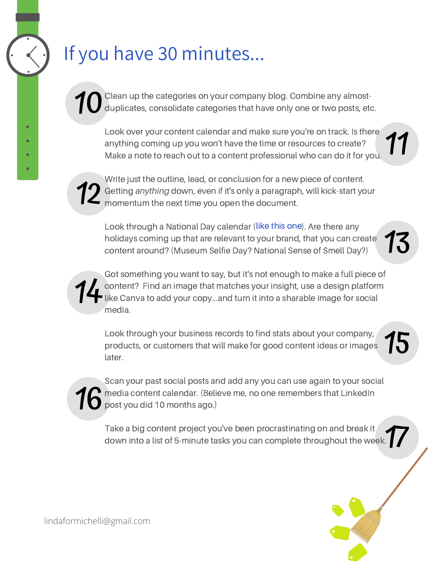## If you have 30 minutes...

10 Clean up the categories on your company blog. Combine any almostduplicates, consolidate categories that have only one or two posts, etc.

Look over your content calendar and make sure you're on track. Is there anything coming up you won't have the time or resources to create? Make a note to reach out to a content professional who can do it for you.



**12** Getting anything down, even if it's only a paragraph, will kick-start your<br>momentum the next time you open the document. Write just the outline, lead, or conclusion for a new piece of content. momentum the next time you open the document.

Look through a National Day calendar (like this [one](https://nationaltoday.com/)). Are there any holidays coming up that are relevant to your brand, that you can create content around? (Museum Selfie Day? National Sense of Smell Day?)



Got something you want to say, but it's not enough to make a full piece of content? Find an image that matches your insight, use a design platform like Canva to add your copy...and turn it into a sharable image for social media.

Look through your business records to find stats about your company, products, or customers that will make for good content ideas or images later.



17 Take a big content project you've been procrastinating on and break it down into a list of 5-minute tasks you can complete throughout the week.



11

13

15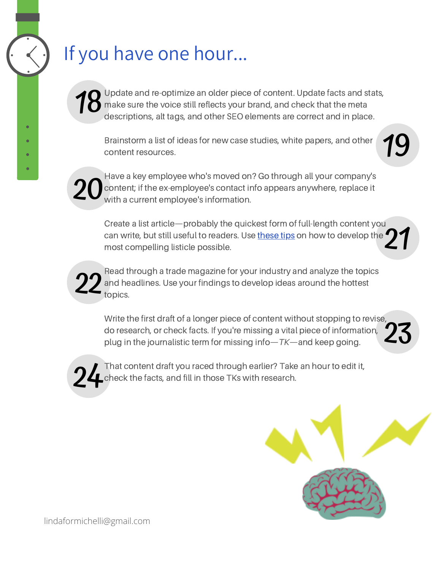## If you have one hour...

18 Update and re-optimize an older piece of content. Update facts and stats, make sure the voice still reflects your brand, and check that the meta descriptions, alt tags, and other SEO elements are correct and in place.

Brainstorm a list of ideas for new case studies, white papers, and other content resources.



20

Have a key employee who's moved on? Go through all your company's content; if the ex-employee's contact info appears anywhere, replace it with a current employee's information.

21 Create a list article—probably the quickest form of full-length content you can write, but still useful to readers. Use [these](https://www.linkedin.com/pulse/content-marketers-3-picky-tips-writing-listicle-want-read-linda/) tips on how to develop the most compelling listicle possible.



Read through a trade magazine for your industry and analyze the topics and headlines. Use your findings to develop ideas around the hottest topics.

23 Write the first draft of a longer piece of content without stopping to revise, do research, or check facts. If you're missing a vital piece of information, plug in the journalistic term for missing info—*TK*—and keep going.



That content draft you raced through earlier? Take an hour to edit it, check the facts, and fill in those TKs with research.



lindaformichelli@gmail.com